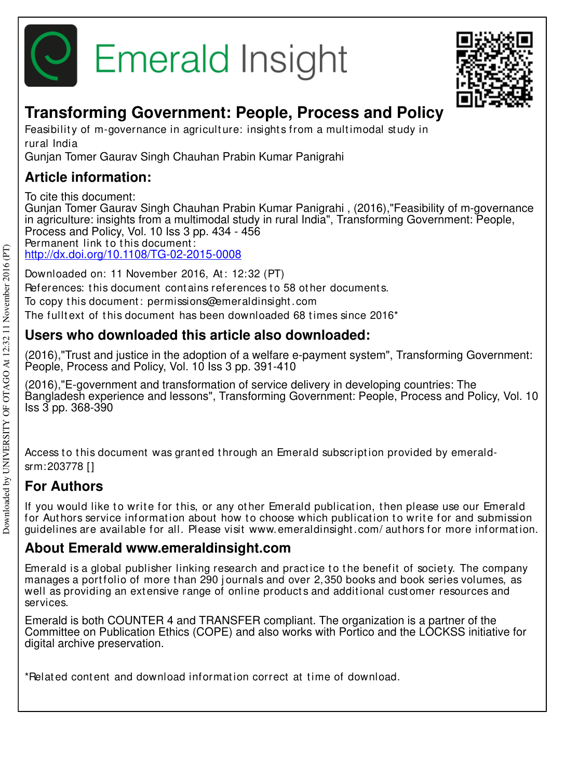



## **Transforming Government: People, Process and Policy**

Feasibility of m-governance in agriculture: insights from a multimodal study in rural India

Gunjan Tomer Gaurav Singh Chauhan Prabin Kumar Panigrahi

## **Article information:**

To cite this document:

Gunjan Tomer Gaurav Singh Chauhan Prabin Kumar Panigrahi , (2016),"Feasibility of m-governance in agriculture: insights from a multimodal study in rural India", Transforming Government: People, Process and Policy, Vol. 10 Iss 3 pp. 434 - 456 Permanent link to this document:

http://dx.doi.org/10.1108/TG-02-2015-0008

Downloaded on: 11 November 2016, At : 12:32 (PT)

References: this document contains references to 58 other documents.

To copy t his document : permissions@emeraldinsight .com

The fulltext of this document has been downloaded 68 times since 2016<sup>\*</sup>

## **Users who downloaded this article also downloaded:**

(2016),"Trust and justice in the adoption of a welfare e-payment system", Transforming Government: People, Process and Policy, Vol. 10 Iss 3 pp. 391-410

(2016),"E-government and transformation of service delivery in developing countries: The Bangladesh experience and lessons", Transforming Government: People, Process and Policy, Vol. 10 Iss 3 pp. 368-390

Access to this document was granted through an Emerald subscription provided by emeraldsrm:203778 []

## **For Authors**

If you would like to write for this, or any other Emerald publication, then please use our Emerald for Authors service information about how to choose which publication to write for and submission guidelines are available for all. Please visit www.emeraldinsight .com/ aut hors for more informat ion.

## **About Emerald www.emeraldinsight.com**

Emerald is a global publisher linking research and practice to the benefit of society. The company manages a portfolio of more than 290 journals and over 2,350 books and book series volumes, as well as providing an extensive range of online products and additional customer resources and services.

Emerald is both COUNTER 4 and TRANSFER compliant. The organization is a partner of the Committee on Publication Ethics (COPE) and also works with Portico and the LOCKSS initiative for digital archive preservation.

\*Related content and download information correct at time of download.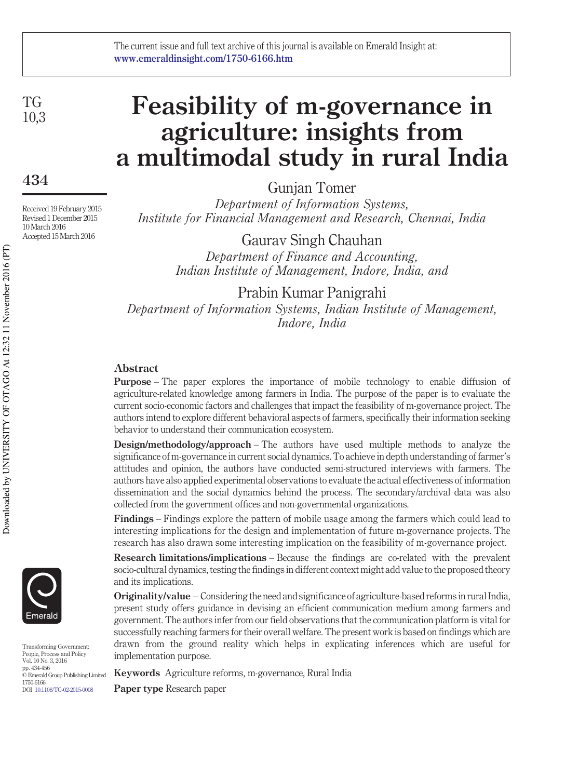TG 10,3

### **434**

Received 19 February 2015 Revised 1 December 2015 10 March 2016 Accepted 15 March 2016

# **Feasibility of m-governance in agriculture: insights from a multimodal study in rural India**

Gunjan Tomer

*Department of Information Systems, Institute for Financial Management and Research, Chennai, India*

> Gaurav Singh Chauhan *Department of Finance and Accounting, Indian Institute of Management, Indore, India, and*

Prabin Kumar Panigrahi *Department of Information Systems, Indian Institute of Management, Indore, India*

#### **Abstract**

**Purpose** – The paper explores the importance of mobile technology to enable diffusion of agriculture-related knowledge among farmers in India. The purpose of the paper is to evaluate the current socio-economic factors and challenges that impact the feasibility of m-governance project. The authors intend to explore different behavioral aspects of farmers, specifically their information seeking behavior to understand their communication ecosystem.

**Design/methodology/approach** – The authors have used multiple methods to analyze the significance of m-governance in current social dynamics. To achieve in depth understanding of farmer's attitudes and opinion, the authors have conducted semi-structured interviews with farmers. The authors have also applied experimental observations to evaluate the actual effectiveness of information dissemination and the social dynamics behind the process. The secondary/archival data was also collected from the government offices and non-governmental organizations.

**Findings** – Findings explore the pattern of mobile usage among the farmers which could lead to interesting implications for the design and implementation of future m-governance projects. The research has also drawn some interesting implication on the feasibility of m-governance project.

**Research limitations/implications** – Because the findings are co-related with the prevalent socio-cultural dynamics, testing the findings in different context might add value to the proposed theory and its implications.

**Originality/value** – Considering the need and significance of agriculture-based reforms in rural India, present study offers guidance in devising an efficient communication medium among farmers and government. The authors infer from our field observations that the communication platform is vital for successfully reaching farmers for their overall welfare. The present work is based on findings which are drawn from the ground reality which helps in explicating inferences which are useful for implementation purpose.

**Keywords** Agriculture reforms, m-governance, Rural India

**Paper type** Research paper



Transforming Government: People, Process and Policy Vol. 10 No. 3, 2016 pp. 434-456 © Emerald Group Publishing Limited 1750-6166 DOI 10.1108/TG-02-2015-0008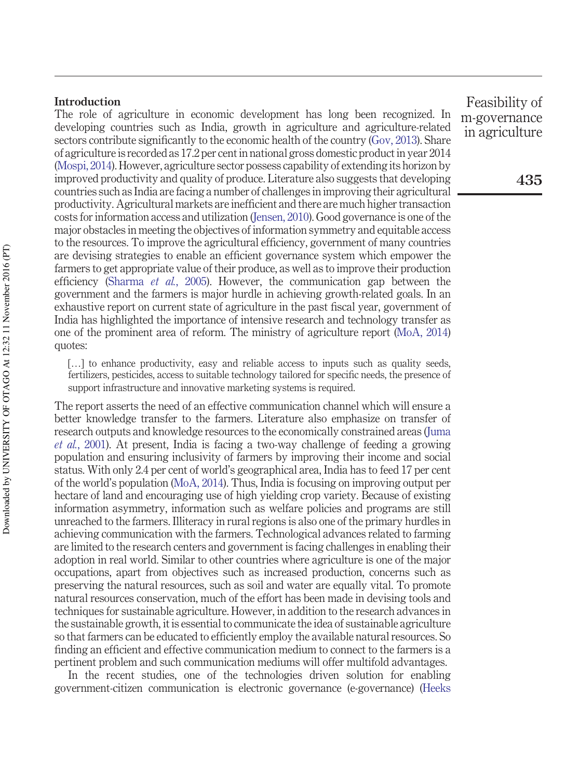#### **Introduction**

The role of agriculture in economic development has long been recognized. In developing countries such as India, growth in agriculture and agriculture-related sectors contribute significantly to the economic health of the country (Gov, 2013). Share of agriculture is recorded as 17.2 per cent in national gross domestic product in year 2014 (Mospi, 2014). However, agriculture sector possess capability of extending its horizon by improved productivity and quality of produce. Literature also suggests that developing countries such as India are facing a number of challenges in improving their agricultural productivity. Agricultural markets are inefficient and there are much higher transaction costs for information access and utilization (Jensen, 2010). Good governance is one of the major obstacles in meeting the objectives of information symmetry and equitable access to the resources. To improve the agricultural efficiency, government of many countries are devising strategies to enable an efficient governance system which empower the farmers to get appropriate value of their produce, as well as to improve their production efficiency (Sharma *et al.*, 2005). However, the communication gap between the government and the farmers is major hurdle in achieving growth-related goals. In an exhaustive report on current state of agriculture in the past fiscal year, government of India has highlighted the importance of intensive research and technology transfer as one of the prominent area of reform. The ministry of agriculture report (MoA, 2014) quotes:

[...] to enhance productivity, easy and reliable access to inputs such as quality seeds, fertilizers, pesticides, access to suitable technology tailored for specific needs, the presence of support infrastructure and innovative marketing systems is required.

The report asserts the need of an effective communication channel which will ensure a better knowledge transfer to the farmers. Literature also emphasize on transfer of research outputs and knowledge resources to the economically constrained areas (Juma *et al.*, 2001). At present, India is facing a two-way challenge of feeding a growing population and ensuring inclusivity of farmers by improving their income and social status. With only 2.4 per cent of world's geographical area, India has to feed 17 per cent of the world's population (MoA, 2014). Thus, India is focusing on improving output per hectare of land and encouraging use of high yielding crop variety. Because of existing information asymmetry, information such as welfare policies and programs are still unreached to the farmers. Illiteracy in rural regions is also one of the primary hurdles in achieving communication with the farmers. Technological advances related to farming are limited to the research centers and government is facing challenges in enabling their adoption in real world. Similar to other countries where agriculture is one of the major occupations, apart from objectives such as increased production, concerns such as preserving the natural resources, such as soil and water are equally vital. To promote natural resources conservation, much of the effort has been made in devising tools and techniques for sustainable agriculture. However, in addition to the research advances in the sustainable growth, it is essential to communicate the idea of sustainable agriculture so that farmers can be educated to efficiently employ the available natural resources. So finding an efficient and effective communication medium to connect to the farmers is a pertinent problem and such communication mediums will offer multifold advantages.

In the recent studies, one of the technologies driven solution for enabling government-citizen communication is electronic governance (e-governance) (Heeks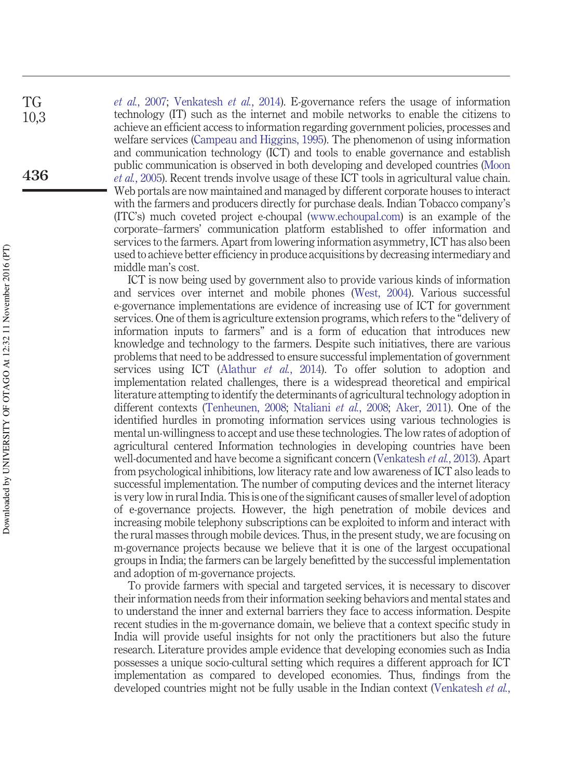*et al.*, 2007; Venkatesh *et al.*, 2014). E-governance refers the usage of information technology (IT) such as the internet and mobile networks to enable the citizens to achieve an efficient access to information regarding government policies, processes and welfare services (Campeau and Higgins, 1995). The phenomenon of using information and communication technology (ICT) and tools to enable governance and establish public communication is observed in both developing and developed countries (Moon *et al.*, 2005). Recent trends involve usage of these ICT tools in agricultural value chain. Web portals are now maintained and managed by different corporate houses to interact with the farmers and producers directly for purchase deals. Indian Tobacco company's (ITC's) much coveted project e-choupal [\(www.echoupal.com\)](http://www.echoupal.com) is an example of the corporate–farmers' communication platform established to offer information and services to the farmers. Apart from lowering information asymmetry, ICT has also been used to achieve better efficiency in produce acquisitions by decreasing intermediary and middle man's cost.

ICT is now being used by government also to provide various kinds of information and services over internet and mobile phones (West, 2004). Various successful e-governance implementations are evidence of increasing use of ICT for government services. One of them is agriculture extension programs, which refers to the "delivery of information inputs to farmers" and is a form of education that introduces new knowledge and technology to the farmers. Despite such initiatives, there are various problems that need to be addressed to ensure successful implementation of government services using ICT (Alathur *et al.*, 2014). To offer solution to adoption and implementation related challenges, there is a widespread theoretical and empirical literature attempting to identify the determinants of agricultural technology adoption in different contexts (Tenheunen, 2008; Ntaliani *et al.*, 2008; Aker, 2011). One of the identified hurdles in promoting information services using various technologies is mental un-willingness to accept and use these technologies. The low rates of adoption of agricultural centered Information technologies in developing countries have been well-documented and have become a significant concern (Venkatesh *et al.*, 2013). Apart from psychological inhibitions, low literacy rate and low awareness of ICT also leads to successful implementation. The number of computing devices and the internet literacy is very low in rural India. This is one of the significant causes of smaller level of adoption of e-governance projects. However, the high penetration of mobile devices and increasing mobile telephony subscriptions can be exploited to inform and interact with the rural masses through mobile devices. Thus, in the present study, we are focusing on m-governance projects because we believe that it is one of the largest occupational groups in India; the farmers can be largely benefitted by the successful implementation and adoption of m-governance projects.

To provide farmers with special and targeted services, it is necessary to discover their information needs from their information seeking behaviors and mental states and to understand the inner and external barriers they face to access information. Despite recent studies in the m-governance domain, we believe that a context specific study in India will provide useful insights for not only the practitioners but also the future research. Literature provides ample evidence that developing economies such as India possesses a unique socio-cultural setting which requires a different approach for ICT implementation as compared to developed economies. Thus, findings from the developed countries might not be fully usable in the Indian context (Venkatesh *et al.*,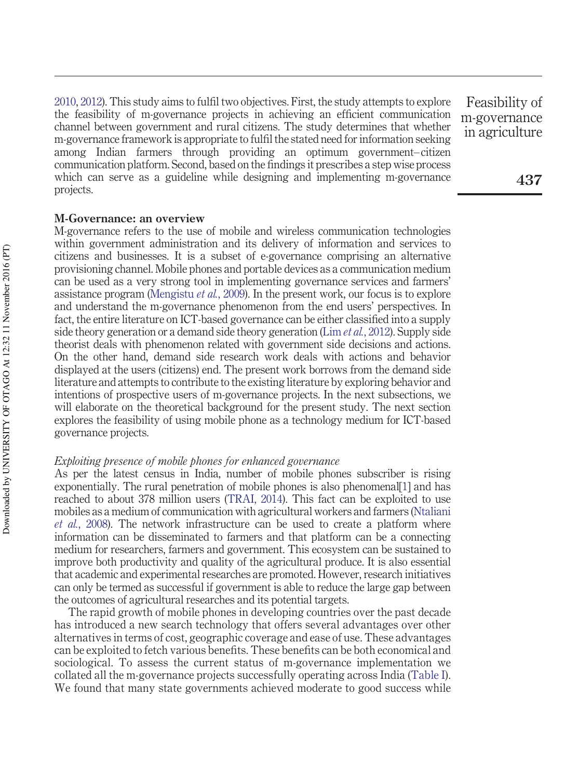2010, 2012). This study aims to fulfil two objectives. First, the study attempts to explore the feasibility of m-governance projects in achieving an efficient communication channel between government and rural citizens. The study determines that whether m-governance framework is appropriate to fulfil the stated need for information seeking among Indian farmers through providing an optimum government– citizen communication platform. Second, based on the findings it prescribes a step wise process which can serve as a guideline while designing and implementing m-governance projects.

#### **M-Governance: an overview**

M-governance refers to the use of mobile and wireless communication technologies within government administration and its delivery of information and services to citizens and businesses. It is a subset of e-governance comprising an alternative provisioning channel. Mobile phones and portable devices as a communication medium can be used as a very strong tool in implementing governance services and farmers' assistance program (Mengistu *et al.*, 2009). In the present work, our focus is to explore and understand the m-governance phenomenon from the end users' perspectives. In fact, the entire literature on ICT-based governance can be either classified into a supply side theory generation or a demand side theory generation (Lim *et al.*, 2012). Supply side theorist deals with phenomenon related with government side decisions and actions. On the other hand, demand side research work deals with actions and behavior displayed at the users (citizens) end. The present work borrows from the demand side literature and attempts to contribute to the existing literature by exploring behavior and intentions of prospective users of m-governance projects. In the next subsections, we will elaborate on the theoretical background for the present study. The next section explores the feasibility of using mobile phone as a technology medium for ICT-based governance projects.

#### *Exploiting presence of mobile phones for enhanced governance*

As per the latest census in India, number of mobile phones subscriber is rising exponentially. The rural penetration of mobile phones is also phenomenal[1] and has reached to about 378 million users (TRAI, 2014). This fact can be exploited to use mobiles as a medium of communication with agricultural workers and farmers (Ntaliani *et al.*, 2008). The network infrastructure can be used to create a platform where information can be disseminated to farmers and that platform can be a connecting medium for researchers, farmers and government. This ecosystem can be sustained to improve both productivity and quality of the agricultural produce. It is also essential that academic and experimental researches are promoted. However, research initiatives can only be termed as successful if government is able to reduce the large gap between the outcomes of agricultural researches and its potential targets.

The rapid growth of mobile phones in developing countries over the past decade has introduced a new search technology that offers several advantages over other alternatives in terms of cost, geographic coverage and ease of use. These advantages can be exploited to fetch various benefits. These benefits can be both economical and sociological. To assess the current status of m-governance implementation we collated all the m-governance projects successfully operating across India (Table I). We found that many state governments achieved moderate to good success while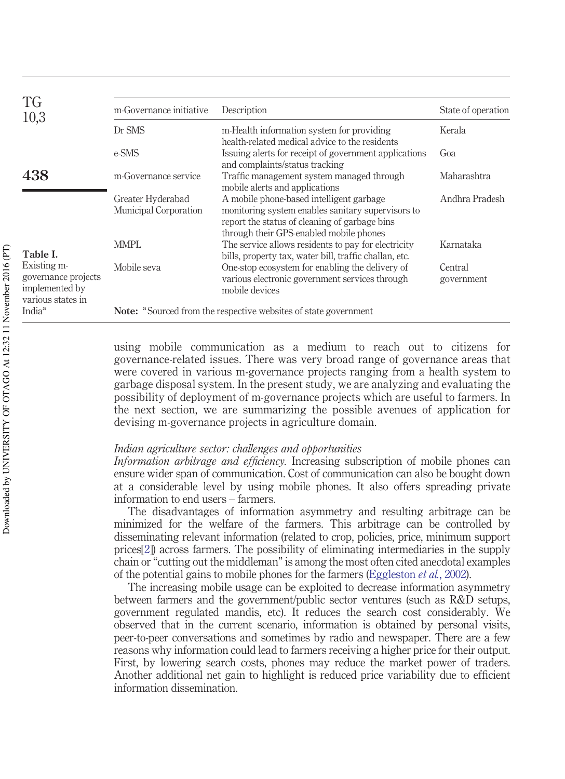| <b>TG</b><br>10,3                                                         | m-Governance initiative                                                            | Description                                                                                                                                                                               | State of operation    |  |
|---------------------------------------------------------------------------|------------------------------------------------------------------------------------|-------------------------------------------------------------------------------------------------------------------------------------------------------------------------------------------|-----------------------|--|
|                                                                           | Dr SMS                                                                             | m-Health information system for providing<br>health-related medical advice to the residents                                                                                               | Kerala                |  |
|                                                                           | e-SMS                                                                              | Issuing a lerts for receipt of government applications<br>and complaints/status tracking                                                                                                  | Goa                   |  |
| 438                                                                       | m-Governance service                                                               | Traffic management system managed through<br>mobile alerts and applications                                                                                                               | Maharashtra           |  |
|                                                                           | Greater Hyderabad<br>Municipal Corporation                                         | A mobile phone-based intelligent garbage<br>monitoring system enables sanitary supervisors to<br>report the status of cleaning of garbage bins<br>through their GPS-enabled mobile phones | Andhra Pradesh        |  |
| Table I.                                                                  | MMPL                                                                               | The service allows residents to pay for electricity<br>bills, property tax, water bill, traffic challan, etc.                                                                             | Karnataka             |  |
| Existing m-<br>governance projects<br>implemented by<br>various states in | Mobile seva                                                                        | One-stop ecosystem for enabling the delivery of<br>various electronic government services through<br>mobile devices                                                                       | Central<br>government |  |
| India <sup>a</sup>                                                        | <b>Note:</b> <sup>a</sup> Sourced from the respective websites of state government |                                                                                                                                                                                           |                       |  |

using mobile communication as a medium to reach out to citizens for governance-related issues. There was very broad range of governance areas that were covered in various m-governance projects ranging from a health system to garbage disposal system. In the present study, we are analyzing and evaluating the possibility of deployment of m-governance projects which are useful to farmers. In the next section, we are summarizing the possible avenues of application for devising m-governance projects in agriculture domain.

#### *Indian agriculture sector: challenges and opportunities*

*Information arbitrage and efficiency.* Increasing subscription of mobile phones can ensure wider span of communication. Cost of communication can also be bought down at a considerable level by using mobile phones. It also offers spreading private information to end users – farmers.

The disadvantages of information asymmetry and resulting arbitrage can be minimized for the welfare of the farmers. This arbitrage can be controlled by disseminating relevant information (related to crop, policies, price, minimum support prices[2]) across farmers. The possibility of eliminating intermediaries in the supply chain or "cutting out the middleman" is among the most often cited anecdotal examples of the potential gains to mobile phones for the farmers (Eggleston *et al.*, 2002).

The increasing mobile usage can be exploited to decrease information asymmetry between farmers and the government/public sector ventures (such as R&D setups, government regulated mandis, etc). It reduces the search cost considerably. We observed that in the current scenario, information is obtained by personal visits, peer-to-peer conversations and sometimes by radio and newspaper. There are a few reasons why information could lead to farmers receiving a higher price for their output. First, by lowering search costs, phones may reduce the market power of traders. Another additional net gain to highlight is reduced price variability due to efficient information dissemination.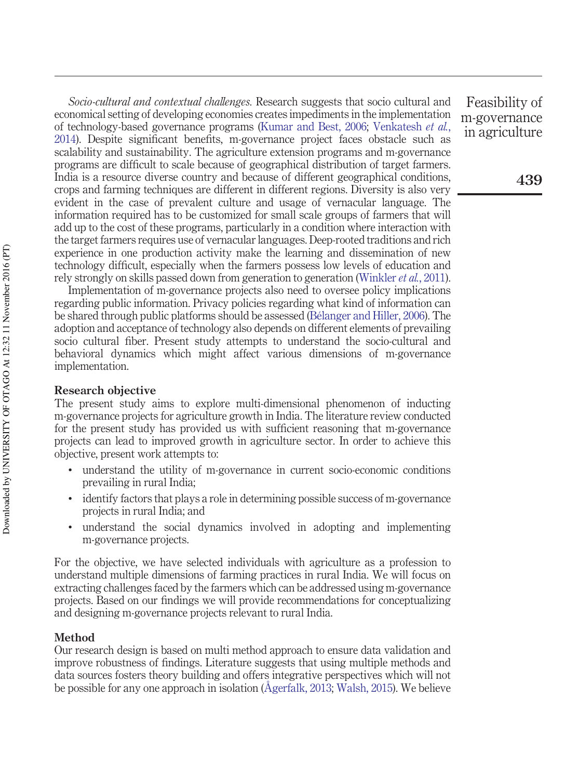*Socio-cultural and contextual challenges.* Research suggests that socio cultural and economical setting of developing economies creates impediments in the implementation of technology-based governance programs (Kumar and Best, 2006; Venkatesh *et al.*, 2014). Despite significant benefits, m-governance project faces obstacle such as scalability and sustainability. The agriculture extension programs and m-governance programs are difficult to scale because of geographical distribution of target farmers. India is a resource diverse country and because of different geographical conditions, crops and farming techniques are different in different regions. Diversity is also very evident in the case of prevalent culture and usage of vernacular language. The information required has to be customized for small scale groups of farmers that will add up to the cost of these programs, particularly in a condition where interaction with the target farmers requires use of vernacular languages. Deep-rooted traditions and rich experience in one production activity make the learning and dissemination of new technology difficult, especially when the farmers possess low levels of education and rely strongly on skills passed down from generation to generation (Winkler *et al.*, 2011).

Implementation of m-governance projects also need to oversee policy implications regarding public information. Privacy policies regarding what kind of information can be shared through public platforms should be assessed (Bélanger and Hiller, 2006). The adoption and acceptance of technology also depends on different elements of prevailing socio cultural fiber. Present study attempts to understand the socio-cultural and behavioral dynamics which might affect various dimensions of m-governance implementation.

#### **Research objective**

The present study aims to explore multi-dimensional phenomenon of inducting m-governance projects for agriculture growth in India. The literature review conducted for the present study has provided us with sufficient reasoning that m-governance projects can lead to improved growth in agriculture sector. In order to achieve this objective, present work attempts to:

- understand the utility of m-governance in current socio-economic conditions prevailing in rural India;
- identify factors that plays a role in determining possible success of m-governance projects in rural India; and
- understand the social dynamics involved in adopting and implementing m-governance projects.

For the objective, we have selected individuals with agriculture as a profession to understand multiple dimensions of farming practices in rural India. We will focus on extracting challenges faced by the farmers which can be addressed using m-governance projects. Based on our findings we will provide recommendations for conceptualizing and designing m-governance projects relevant to rural India.

#### **Method**

Our research design is based on multi method approach to ensure data validation and improve robustness of findings. Literature suggests that using multiple methods and data sources fosters theory building and offers integrative perspectives which will not be possible for any one approach in isolation (Ågerfalk, 2013; Walsh, 2015). We believe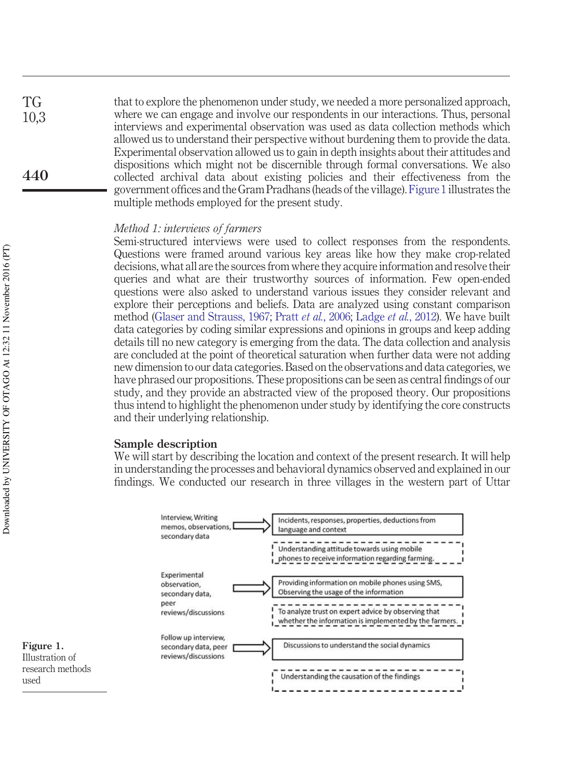that to explore the phenomenon under study, we needed a more personalized approach, where we can engage and involve our respondents in our interactions. Thus, personal interviews and experimental observation was used as data collection methods which allowed us to understand their perspective without burdening them to provide the data. Experimental observation allowed us to gain in depth insights about their attitudes and dispositions which might not be discernible through formal conversations. We also collected archival data about existing policies and their effectiveness from the government offices and the Gram Pradhans (heads of the village). Figure 1 illustrates the multiple methods employed for the present study. TG 10,3 **440**

#### *Method 1: interviews of farmers*

Semi-structured interviews were used to collect responses from the respondents. Questions were framed around various key areas like how they make crop-related decisions, what all are the sources from where they acquire information and resolve their queries and what are their trustworthy sources of information. Few open-ended questions were also asked to understand various issues they consider relevant and explore their perceptions and beliefs. Data are analyzed using constant comparison method (Glaser and Strauss, 1967; Pratt *et al.*, 2006; Ladge *et al.*, 2012). We have built data categories by coding similar expressions and opinions in groups and keep adding details till no new category is emerging from the data. The data collection and analysis are concluded at the point of theoretical saturation when further data were not adding new dimension to our data categories. Based on the observations and data categories, we have phrased our propositions. These propositions can be seen as central findings of our study, and they provide an abstracted view of the proposed theory. Our propositions thus intend to highlight the phenomenon under study by identifying the core constructs and their underlying relationship.

#### **Sample description**

We will start by describing the location and context of the present research. It will help in understanding the processes and behavioral dynamics observed and explained in our findings. We conducted our research in three villages in the western part of Uttar



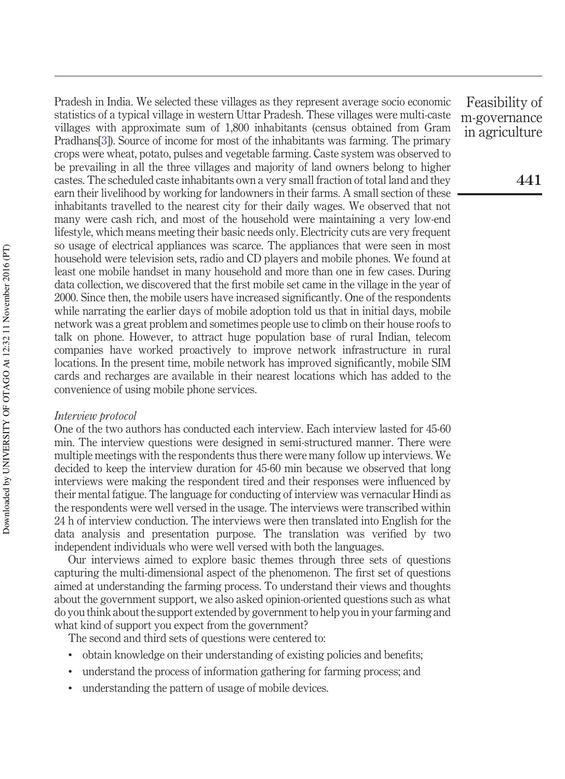Pradesh in India. We selected these villages as they represent average socio economic statistics of a typical village in western Uttar Pradesh. These villages were multi-caste villages with approximate sum of 1,800 inhabitants (census obtained from Gram Pradhans[3]). Source of income for most of the inhabitants was farming. The primary crops were wheat, potato, pulses and vegetable farming. Caste system was observed to be prevailing in all the three villages and majority of land owners belong to higher castes. The scheduled caste inhabitants own a very small fraction of total land and they earn their livelihood by working for landowners in their farms. A small section of these inhabitants travelled to the nearest city for their daily wages. We observed that not many were cash rich, and most of the household were maintaining a very low-end lifestyle, which means meeting their basic needs only. Electricity cuts are very frequent so usage of electrical appliances was scarce. The appliances that were seen in most household were television sets, radio and CD players and mobile phones. We found at least one mobile handset in many household and more than one in few cases. During data collection, we discovered that the first mobile set came in the village in the year of 2000. Since then, the mobile users have increased significantly. One of the respondents while narrating the earlier days of mobile adoption told us that in initial days, mobile network was a great problem and sometimes people use to climb on their house roofs to talk on phone. However, to attract huge population base of rural Indian, telecom companies have worked proactively to improve network infrastructure in rural locations. In the present time, mobile network has improved significantly, mobile SIM cards and recharges are available in their nearest locations which has added to the convenience of using mobile phone services.

#### *Interview protocol*

One of the two authors has conducted each interview. Each interview lasted for 45-60 min. The interview questions were designed in semi-structured manner. There were multiple meetings with the respondents thus there were many follow up interviews. We decided to keep the interview duration for 45-60 min because we observed that long interviews were making the respondent tired and their responses were influenced by their mental fatigue. The language for conducting of interview was vernacular Hindi as the respondents were well versed in the usage. The interviews were transcribed within 24 h of interview conduction. The interviews were then translated into English for the data analysis and presentation purpose. The translation was verified by two independent individuals who were well versed with both the languages.

Our interviews aimed to explore basic themes through three sets of questions capturing the multi-dimensional aspect of the phenomenon. The first set of questions aimed at understanding the farming process. To understand their views and thoughts about the government support, we also asked opinion-oriented questions such as what do you think about the support extended by government to help you in your farming and what kind of support you expect from the government?

The second and third sets of questions were centered to:

- obtain knowledge on their understanding of existing policies and benefits;
- understand the process of information gathering for farming process; and
- understanding the pattern of usage of mobile devices.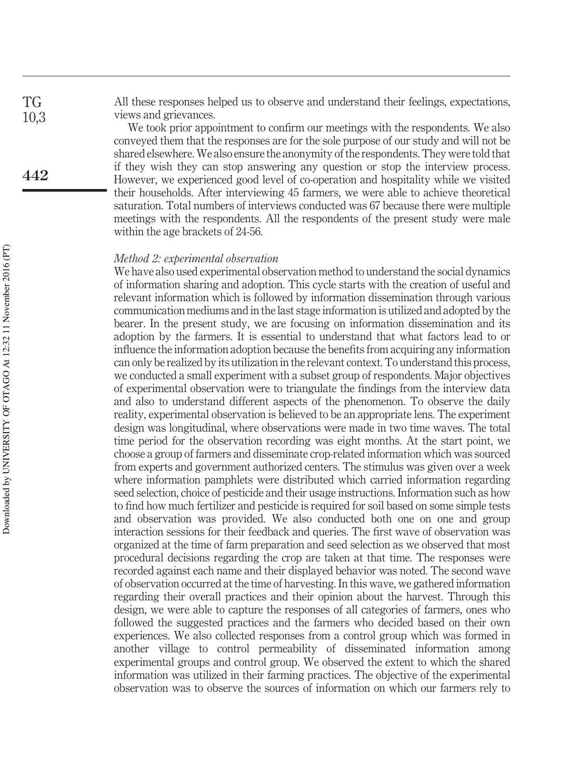All these responses helped us to observe and understand their feelings, expectations, views and grievances.

We took prior appointment to confirm our meetings with the respondents. We also conveyed them that the responses are for the sole purpose of our study and will not be shared elsewhere. We also ensure the anonymity of the respondents. They were told that if they wish they can stop answering any question or stop the interview process. However, we experienced good level of co-operation and hospitality while we visited their households. After interviewing 45 farmers, we were able to achieve theoretical saturation. Total numbers of interviews conducted was 67 because there were multiple meetings with the respondents. All the respondents of the present study were male within the age brackets of 24-56.

#### *Method 2: experimental observation*

We have also used experimental observation method to understand the social dynamics of information sharing and adoption. This cycle starts with the creation of useful and relevant information which is followed by information dissemination through various communication mediums and in the last stage information is utilized and adopted by the bearer. In the present study, we are focusing on information dissemination and its adoption by the farmers. It is essential to understand that what factors lead to or influence the information adoption because the benefits from acquiring any information can only be realized by its utilization in the relevant context. To understand this process, we conducted a small experiment with a subset group of respondents. Major objectives of experimental observation were to triangulate the findings from the interview data and also to understand different aspects of the phenomenon. To observe the daily reality, experimental observation is believed to be an appropriate lens. The experiment design was longitudinal, where observations were made in two time waves. The total time period for the observation recording was eight months. At the start point, we choose a group of farmers and disseminate crop-related information which was sourced from experts and government authorized centers. The stimulus was given over a week where information pamphlets were distributed which carried information regarding seed selection, choice of pesticide and their usage instructions. Information such as how to find how much fertilizer and pesticide is required for soil based on some simple tests and observation was provided. We also conducted both one on one and group interaction sessions for their feedback and queries. The first wave of observation was organized at the time of farm preparation and seed selection as we observed that most procedural decisions regarding the crop are taken at that time. The responses were recorded against each name and their displayed behavior was noted. The second wave of observation occurred at the time of harvesting. In this wave, we gathered information regarding their overall practices and their opinion about the harvest. Through this design, we were able to capture the responses of all categories of farmers, ones who followed the suggested practices and the farmers who decided based on their own experiences. We also collected responses from a control group which was formed in another village to control permeability of disseminated information among experimental groups and control group. We observed the extent to which the shared information was utilized in their farming practices. The objective of the experimental observation was to observe the sources of information on which our farmers rely to

**442**

TG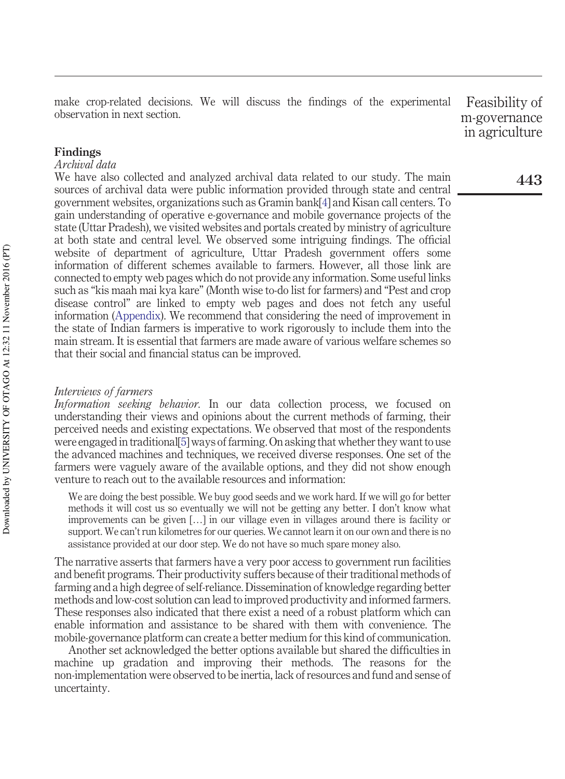make crop-related decisions. We will discuss the findings of the experimental observation in next section. Feasibility of

m-governance in agriculture

#### **Findings**

#### *Archival data*

We have also collected and analyzed archival data related to our study. The main sources of archival data were public information provided through state and central government websites, organizations such as Gramin bank[4] and Kisan call centers. To gain understanding of operative e-governance and mobile governance projects of the state (Uttar Pradesh), we visited websites and portals created by ministry of agriculture at both state and central level. We observed some intriguing findings. The official website of department of agriculture, Uttar Pradesh government offers some information of different schemes available to farmers. However, all those link are connected to empty web pages which do not provide any information. Some useful links such as "kis maah mai kya kare" (Month wise to-do list for farmers) and "Pest and crop disease control" are linked to empty web pages and does not fetch any useful information (Appendix). We recommend that considering the need of improvement in the state of Indian farmers is imperative to work rigorously to include them into the main stream. It is essential that farmers are made aware of various welfare schemes so that their social and financial status can be improved.

#### *Interviews of farmers*

*Information seeking behavior.* In our data collection process, we focused on understanding their views and opinions about the current methods of farming, their perceived needs and existing expectations. We observed that most of the respondents were engaged in traditional[5] ways of farming. On asking that whether they want to use the advanced machines and techniques, we received diverse responses. One set of the farmers were vaguely aware of the available options, and they did not show enough venture to reach out to the available resources and information:

We are doing the best possible. We buy good seeds and we work hard. If we will go for better methods it will cost us so eventually we will not be getting any better. I don't know what improvements can be given […] in our village even in villages around there is facility or support. We can't run kilometres for our queries. We cannot learn it on our own and there is no assistance provided at our door step. We do not have so much spare money also.

The narrative asserts that farmers have a very poor access to government run facilities and benefit programs. Their productivity suffers because of their traditional methods of farming and a high degree of self-reliance. Dissemination of knowledge regarding better methods and low-cost solution can lead to improved productivity and informed farmers. These responses also indicated that there exist a need of a robust platform which can enable information and assistance to be shared with them with convenience. The mobile-governance platform can create a better medium for this kind of communication.

Another set acknowledged the better options available but shared the difficulties in machine up gradation and improving their methods. The reasons for the non-implementation were observed to be inertia, lack of resources and fund and sense of uncertainty.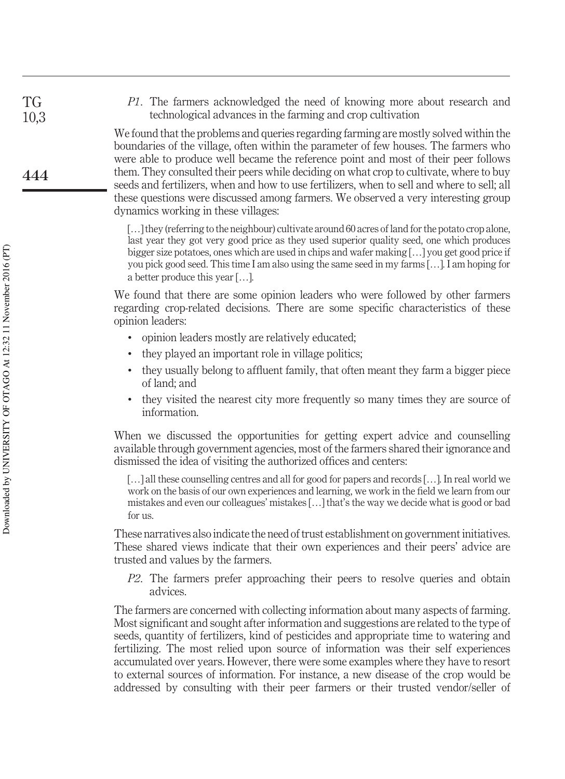*P1*. The farmers acknowledged the need of knowing more about research and technological advances in the farming and crop cultivation

We found that the problems and queries regarding farming are mostly solved within the boundaries of the village, often within the parameter of few houses. The farmers who were able to produce well became the reference point and most of their peer follows them. They consulted their peers while deciding on what crop to cultivate, where to buy seeds and fertilizers, when and how to use fertilizers, when to sell and where to sell; all these questions were discussed among farmers. We observed a very interesting group dynamics working in these villages:

[...] they (referring to the neighbour) cultivate around 60 acres of land for the potato crop alone, last year they got very good price as they used superior quality seed, one which produces bigger size potatoes, ones which are used in chips and wafer making […] you get good price if you pick good seed. This time I am also using the same seed in my farms […]. I am hoping for a better produce this year […].

We found that there are some opinion leaders who were followed by other farmers regarding crop-related decisions. There are some specific characteristics of these opinion leaders:

- opinion leaders mostly are relatively educated;
- they played an important role in village politics;
- they usually belong to affluent family, that often meant they farm a bigger piece of land; and
- they visited the nearest city more frequently so many times they are source of information.

When we discussed the opportunities for getting expert advice and counselling available through government agencies, most of the farmers shared their ignorance and dismissed the idea of visiting the authorized offices and centers:

[…] all these counselling centres and all for good for papers and records […]. In real world we work on the basis of our own experiences and learning, we work in the field we learn from our mistakes and even our colleagues' mistakes […] that's the way we decide what is good or bad for us.

These narratives also indicate the need of trust establishment on government initiatives. These shared views indicate that their own experiences and their peers' advice are trusted and values by the farmers.

*P2*. The farmers prefer approaching their peers to resolve queries and obtain advices.

The farmers are concerned with collecting information about many aspects of farming. Most significant and sought after information and suggestions are related to the type of seeds, quantity of fertilizers, kind of pesticides and appropriate time to watering and fertilizing. The most relied upon source of information was their self experiences accumulated over years. However, there were some examples where they have to resort to external sources of information. For instance, a new disease of the crop would be addressed by consulting with their peer farmers or their trusted vendor/seller of

TG 10,3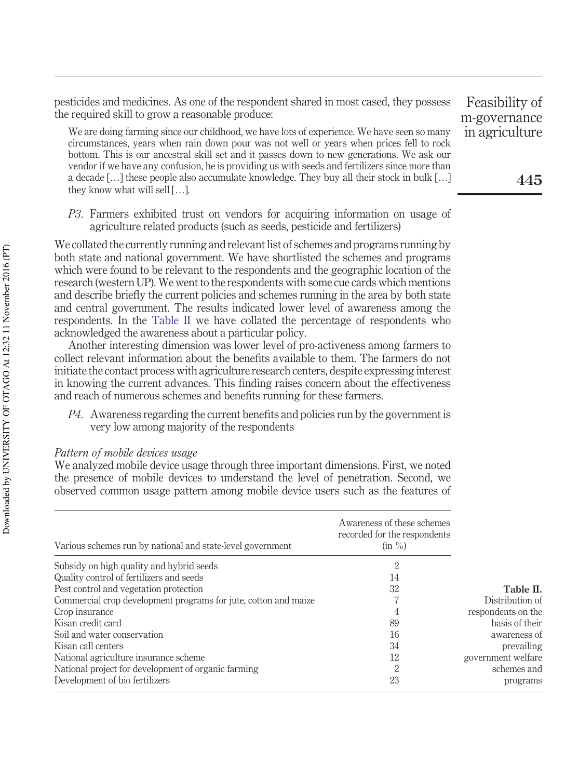pesticides and medicines. As one of the respondent shared in most cased, they possess the required skill to grow a reasonable produce:

We are doing farming since our childhood, we have lots of experience. We have seen so many circumstances, years when rain down pour was not well or years when prices fell to rock bottom. This is our ancestral skill set and it passes down to new generations. We ask our vendor if we have any confusion, he is providing us with seeds and fertilizers since more than a decade  $[\ldots]$  these people also accumulate knowledge. They buy all their stock in bulk  $[\ldots]$ they know what will sell […].

*P3*. Farmers exhibited trust on vendors for acquiring information on usage of agriculture related products (such as seeds, pesticide and fertilizers)

We collated the currently running and relevant list of schemes and programs running by both state and national government. We have shortlisted the schemes and programs which were found to be relevant to the respondents and the geographic location of the research (western UP). We went to the respondents with some cue cards which mentions and describe briefly the current policies and schemes running in the area by both state and central government. The results indicated lower level of awareness among the respondents. In the Table II we have collated the percentage of respondents who acknowledged the awareness about a particular policy.

Another interesting dimension was lower level of pro-activeness among farmers to collect relevant information about the benefits available to them. The farmers do not initiate the contact process with agriculture research centers, despite expressing interest in knowing the current advances. This finding raises concern about the effectiveness and reach of numerous schemes and benefits running for these farmers.

*P4*. Awareness regarding the current benefits and policies run by the government is very low among majority of the respondents

#### *Pattern of mobile devices usage*

We analyzed mobile device usage through three important dimensions. First, we noted the presence of mobile devices to understand the level of penetration. Second, we observed common usage pattern among mobile device users such as the features of

| Various schemes run by national and state-level government      | Awareness of these schemes<br>recorded for the respondents<br>$(in \%)$ |                    |
|-----------------------------------------------------------------|-------------------------------------------------------------------------|--------------------|
| Subsidy on high quality and hybrid seeds                        | 2                                                                       |                    |
| Quality control of fertilizers and seeds                        | 14                                                                      |                    |
| Pest control and vegetation protection                          | 32                                                                      | Table II.          |
| Commercial crop development programs for jute, cotton and maize | 7                                                                       | Distribution of    |
| Crop insurance                                                  | 4                                                                       | respondents on the |
| Kisan credit card                                               | 89                                                                      | basis of their     |
| Soil and water conservation                                     | 16                                                                      | awareness of       |
| Kisan call centers                                              | 34                                                                      | prevailing         |
| National agriculture insurance scheme                           | 12                                                                      | government welfare |
| National project for development of organic farming             | 2                                                                       | schemes and        |
| Development of bio fertilizers                                  | 23                                                                      | programs           |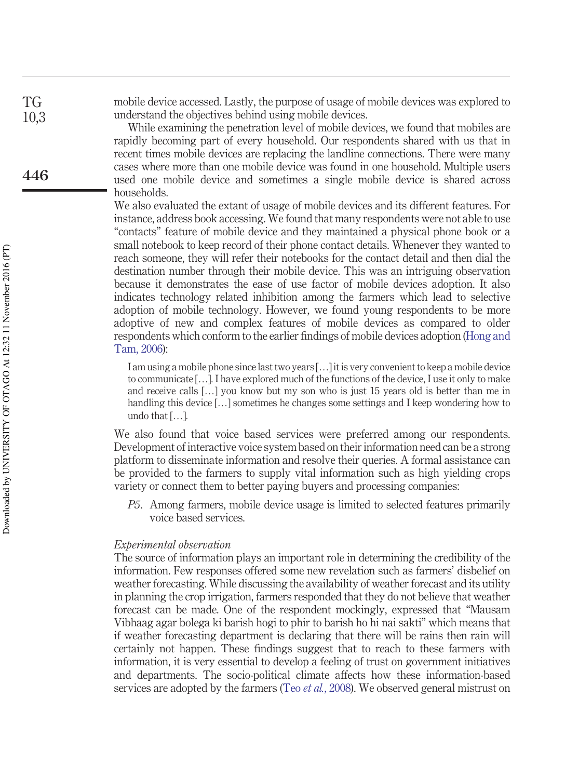mobile device accessed. Lastly, the purpose of usage of mobile devices was explored to understand the objectives behind using mobile devices.

> While examining the penetration level of mobile devices, we found that mobiles are rapidly becoming part of every household. Our respondents shared with us that in recent times mobile devices are replacing the landline connections. There were many cases where more than one mobile device was found in one household. Multiple users used one mobile device and sometimes a single mobile device is shared across households.

> We also evaluated the extant of usage of mobile devices and its different features. For instance, address book accessing. We found that many respondents were not able to use "contacts" feature of mobile device and they maintained a physical phone book or a small notebook to keep record of their phone contact details. Whenever they wanted to reach someone, they will refer their notebooks for the contact detail and then dial the destination number through their mobile device. This was an intriguing observation because it demonstrates the ease of use factor of mobile devices adoption. It also indicates technology related inhibition among the farmers which lead to selective adoption of mobile technology. However, we found young respondents to be more adoptive of new and complex features of mobile devices as compared to older respondents which conform to the earlier findings of mobile devices adoption (Hong and Tam, 2006):

I am using a mobile phone since last two years […] it is very convenient to keep a mobile device to communicate […]. I have explored much of the functions of the device, I use it only to make and receive calls […] you know but my son who is just 15 years old is better than me in handling this device [...] sometimes he changes some settings and I keep wondering how to undo that […].

We also found that voice based services were preferred among our respondents. Development of interactive voice system based on their information need can be a strong platform to disseminate information and resolve their queries. A formal assistance can be provided to the farmers to supply vital information such as high yielding crops variety or connect them to better paying buyers and processing companies:

*P5*. Among farmers, mobile device usage is limited to selected features primarily voice based services.

#### *Experimental observation*

The source of information plays an important role in determining the credibility of the information. Few responses offered some new revelation such as farmers' disbelief on weather forecasting. While discussing the availability of weather forecast and its utility in planning the crop irrigation, farmers responded that they do not believe that weather forecast can be made. One of the respondent mockingly, expressed that "Mausam Vibhaag agar bolega ki barish hogi to phir to barish ho hi nai sakti" which means that if weather forecasting department is declaring that there will be rains then rain will certainly not happen. These findings suggest that to reach to these farmers with information, it is very essential to develop a feeling of trust on government initiatives and departments. The socio-political climate affects how these information-based services are adopted by the farmers (Teo *et al.*, 2008). We observed general mistrust on

TG 10,3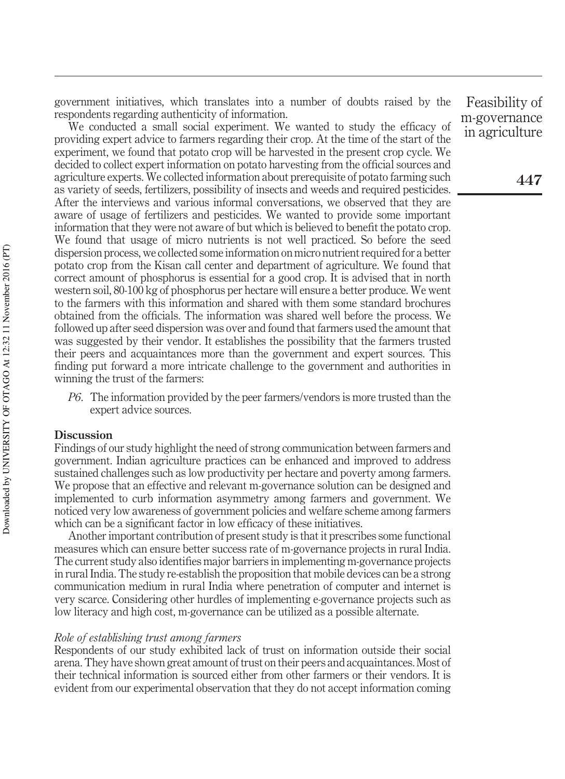government initiatives, which translates into a number of doubts raised by the respondents regarding authenticity of information.

We conducted a small social experiment. We wanted to study the efficacy of providing expert advice to farmers regarding their crop. At the time of the start of the experiment, we found that potato crop will be harvested in the present crop cycle. We decided to collect expert information on potato harvesting from the official sources and agriculture experts. We collected information about prerequisite of potato farming such as variety of seeds, fertilizers, possibility of insects and weeds and required pesticides. After the interviews and various informal conversations, we observed that they are aware of usage of fertilizers and pesticides. We wanted to provide some important information that they were not aware of but which is believed to benefit the potato crop. We found that usage of micro nutrients is not well practiced. So before the seed dispersion process, we collected some information on micro nutrient required for a better potato crop from the Kisan call center and department of agriculture. We found that correct amount of phosphorus is essential for a good crop. It is advised that in north western soil, 80-100 kg of phosphorus per hectare will ensure a better produce. We went to the farmers with this information and shared with them some standard brochures obtained from the officials. The information was shared well before the process. We followed up after seed dispersion was over and found that farmers used the amount that was suggested by their vendor. It establishes the possibility that the farmers trusted their peers and acquaintances more than the government and expert sources. This finding put forward a more intricate challenge to the government and authorities in winning the trust of the farmers:

*P6*. The information provided by the peer farmers/vendors is more trusted than the expert advice sources.

#### **Discussion**

Findings of our study highlight the need of strong communication between farmers and government. Indian agriculture practices can be enhanced and improved to address sustained challenges such as low productivity per hectare and poverty among farmers. We propose that an effective and relevant m-governance solution can be designed and implemented to curb information asymmetry among farmers and government. We noticed very low awareness of government policies and welfare scheme among farmers which can be a significant factor in low efficacy of these initiatives.

Another important contribution of present study is that it prescribes some functional measures which can ensure better success rate of m-governance projects in rural India. The current study also identifies major barriers in implementing m-governance projects in rural India. The study re-establish the proposition that mobile devices can be a strong communication medium in rural India where penetration of computer and internet is very scarce. Considering other hurdles of implementing e-governance projects such as low literacy and high cost, m-governance can be utilized as a possible alternate.

#### *Role of establishing trust among farmers*

Respondents of our study exhibited lack of trust on information outside their social arena. They have shown great amount of trust on their peers and acquaintances. Most of their technical information is sourced either from other farmers or their vendors. It is evident from our experimental observation that they do not accept information coming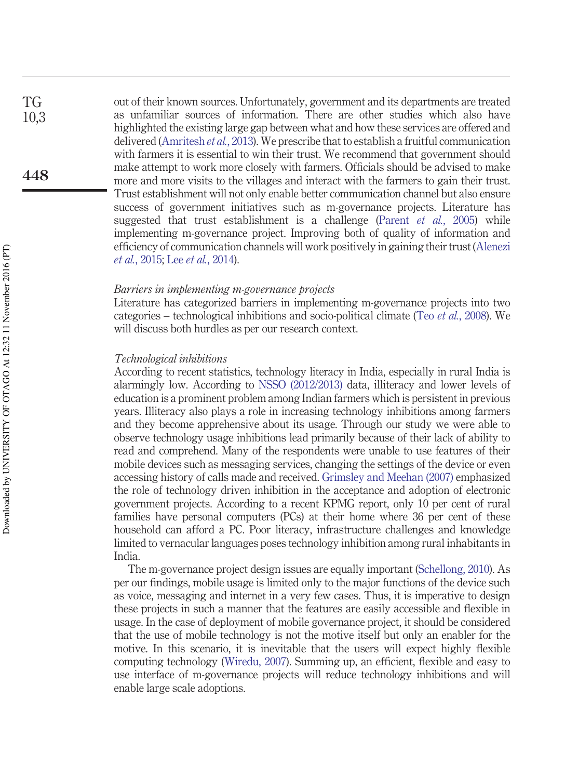out of their known sources. Unfortunately, government and its departments are treated as unfamiliar sources of information. There are other studies which also have highlighted the existing large gap between what and how these services are offered and delivered (Amritesh *et al.*, 2013). We prescribe that to establish a fruitful communication with farmers it is essential to win their trust. We recommend that government should make attempt to work more closely with farmers. Officials should be advised to make more and more visits to the villages and interact with the farmers to gain their trust. Trust establishment will not only enable better communication channel but also ensure success of government initiatives such as m-governance projects. Literature has suggested that trust establishment is a challenge (Parent *et al.*, 2005) while implementing m-governance project. Improving both of quality of information and efficiency of communication channels will work positively in gaining their trust (Alenezi *et al.*, 2015; Lee *et al.*, 2014).

#### *Barriers in implementing m-governance projects*

Literature has categorized barriers in implementing m-governance projects into two categories – technological inhibitions and socio-political climate (Teo *et al.*, 2008). We will discuss both hurdles as per our research context.

#### *Technological inhibitions*

According to recent statistics, technology literacy in India, especially in rural India is alarmingly low. According to NSSO (2012/2013) data, illiteracy and lower levels of education is a prominent problem among Indian farmers which is persistent in previous years. Illiteracy also plays a role in increasing technology inhibitions among farmers and they become apprehensive about its usage. Through our study we were able to observe technology usage inhibitions lead primarily because of their lack of ability to read and comprehend. Many of the respondents were unable to use features of their mobile devices such as messaging services, changing the settings of the device or even accessing history of calls made and received. Grimsley and Meehan (2007) emphasized the role of technology driven inhibition in the acceptance and adoption of electronic government projects. According to a recent KPMG report, only 10 per cent of rural families have personal computers (PCs) at their home where 36 per cent of these household can afford a PC. Poor literacy, infrastructure challenges and knowledge limited to vernacular languages poses technology inhibition among rural inhabitants in India.

The m-governance project design issues are equally important (Schellong, 2010). As per our findings, mobile usage is limited only to the major functions of the device such as voice, messaging and internet in a very few cases. Thus, it is imperative to design these projects in such a manner that the features are easily accessible and flexible in usage. In the case of deployment of mobile governance project, it should be considered that the use of mobile technology is not the motive itself but only an enabler for the motive. In this scenario, it is inevitable that the users will expect highly flexible computing technology (Wiredu, 2007). Summing up, an efficient, flexible and easy to use interface of m-governance projects will reduce technology inhibitions and will enable large scale adoptions.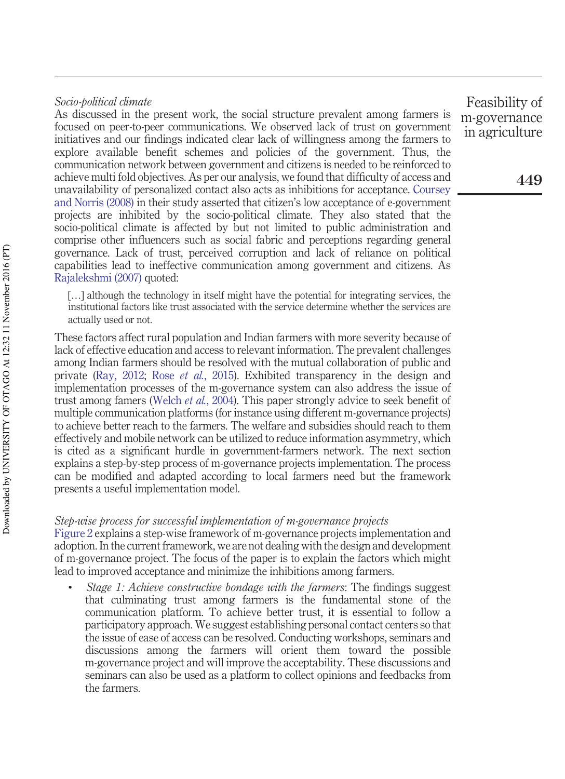#### *Socio-political climate*

As discussed in the present work, the social structure prevalent among farmers is focused on peer-to-peer communications. We observed lack of trust on government initiatives and our findings indicated clear lack of willingness among the farmers to explore available benefit schemes and policies of the government. Thus, the communication network between government and citizens is needed to be reinforced to achieve multi fold objectives. As per our analysis, we found that difficulty of access and unavailability of personalized contact also acts as inhibitions for acceptance. Coursey and Norris (2008) in their study asserted that citizen's low acceptance of e-government projects are inhibited by the socio-political climate. They also stated that the socio-political climate is affected by but not limited to public administration and comprise other influencers such as social fabric and perceptions regarding general governance. Lack of trust, perceived corruption and lack of reliance on political capabilities lead to ineffective communication among government and citizens. As Rajalekshmi (2007) quoted:

[…] although the technology in itself might have the potential for integrating services, the institutional factors like trust associated with the service determine whether the services are actually used or not.

These factors affect rural population and Indian farmers with more severity because of lack of effective education and access to relevant information. The prevalent challenges among Indian farmers should be resolved with the mutual collaboration of public and private (Ray, 2012; Rose *et al.*, 2015). Exhibited transparency in the design and implementation processes of the m-governance system can also address the issue of trust among famers (Welch *et al.*, 2004). This paper strongly advice to seek benefit of multiple communication platforms (for instance using different m-governance projects) to achieve better reach to the farmers. The welfare and subsidies should reach to them effectively and mobile network can be utilized to reduce information asymmetry, which is cited as a significant hurdle in government-farmers network. The next section explains a step-by-step process of m-governance projects implementation. The process can be modified and adapted according to local farmers need but the framework presents a useful implementation model.

#### *Step-wise process for successful implementation of m-governance projects*

Figure 2 explains a step-wise framework of m-governance projects implementation and adoption. In the current framework, we are not dealing with the design and development of m-governance project. The focus of the paper is to explain the factors which might lead to improved acceptance and minimize the inhibitions among farmers.

• *Stage 1: Achieve constructive bondage with the farmers*: The findings suggest that culminating trust among farmers is the fundamental stone of the communication platform. To achieve better trust, it is essential to follow a participatory approach. We suggest establishing personal contact centers so that the issue of ease of access can be resolved. Conducting workshops, seminars and discussions among the farmers will orient them toward the possible m-governance project and will improve the acceptability. These discussions and seminars can also be used as a platform to collect opinions and feedbacks from the farmers.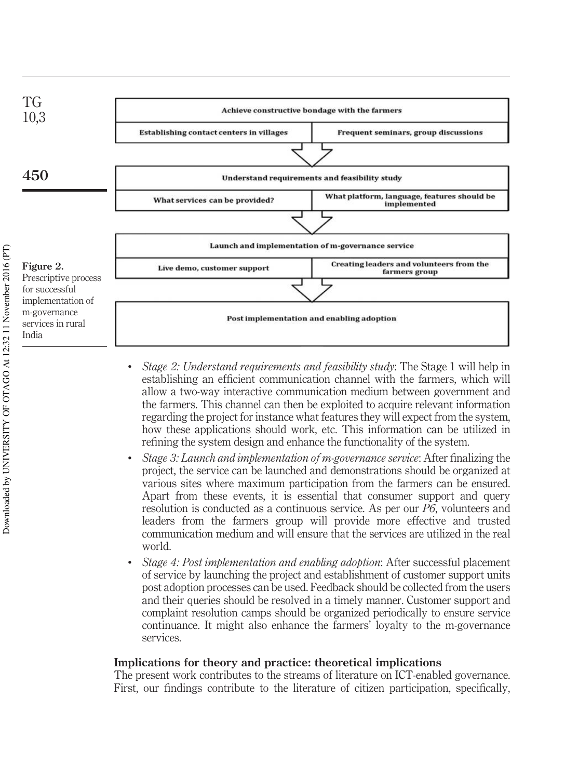

- *Stage 2: Understand requirements and feasibility study*: The Stage 1 will help in establishing an efficient communication channel with the farmers, which will allow a two-way interactive communication medium between government and the farmers. This channel can then be exploited to acquire relevant information regarding the project for instance what features they will expect from the system, how these applications should work, etc. This information can be utilized in refining the system design and enhance the functionality of the system.
- *Stage 3: Launch and implementation of m-governance service*: After finalizing the project, the service can be launched and demonstrations should be organized at various sites where maximum participation from the farmers can be ensured. Apart from these events, it is essential that consumer support and query resolution is conducted as a continuous service. As per our *P6*, volunteers and leaders from the farmers group will provide more effective and trusted communication medium and will ensure that the services are utilized in the real world.
- *Stage 4: Post implementation and enabling adoption*: After successful placement of service by launching the project and establishment of customer support units post adoption processes can be used. Feedback should be collected from the users and their queries should be resolved in a timely manner. Customer support and complaint resolution camps should be organized periodically to ensure service continuance. It might also enhance the farmers' loyalty to the m-governance services.

#### **Implications for theory and practice: theoretical implications**

The present work contributes to the streams of literature on ICT-enabled governance. First, our findings contribute to the literature of citizen participation, specifically,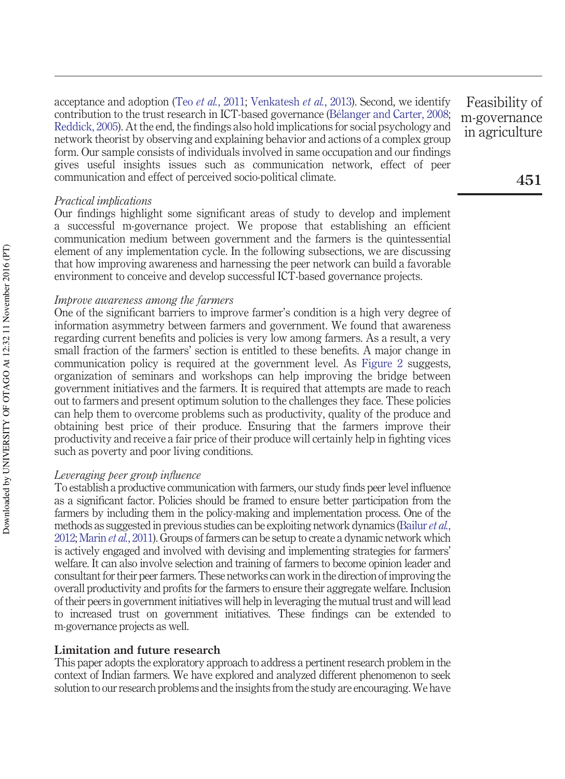acceptance and adoption (Teo *et al.*, 2011; Venkatesh *et al.*, 2013). Second, we identify contribution to the trust research in ICT-based governance (Bélanger and Carter, 2008; Reddick, 2005). At the end, the findings also hold implications for social psychology and network theorist by observing and explaining behavior and actions of a complex group form. Our sample consists of individuals involved in same occupation and our findings gives useful insights issues such as communication network, effect of peer communication and effect of perceived socio-political climate.

#### *Practical implications*

Our findings highlight some significant areas of study to develop and implement a successful m-governance project. We propose that establishing an efficient communication medium between government and the farmers is the quintessential element of any implementation cycle. In the following subsections, we are discussing that how improving awareness and harnessing the peer network can build a favorable environment to conceive and develop successful ICT-based governance projects.

#### *Improve awareness among the farmers*

One of the significant barriers to improve farmer's condition is a high very degree of information asymmetry between farmers and government. We found that awareness regarding current benefits and policies is very low among farmers. As a result, a very small fraction of the farmers' section is entitled to these benefits. A major change in communication policy is required at the government level. As Figure 2 suggests, organization of seminars and workshops can help improving the bridge between government initiatives and the farmers. It is required that attempts are made to reach out to farmers and present optimum solution to the challenges they face. These policies can help them to overcome problems such as productivity, quality of the produce and obtaining best price of their produce. Ensuring that the farmers improve their productivity and receive a fair price of their produce will certainly help in fighting vices such as poverty and poor living conditions.

#### *Leveraging peer group influence*

To establish a productive communication with farmers, our study finds peer level influence as a significant factor. Policies should be framed to ensure better participation from the farmers by including them in the policy-making and implementation process. One of the methods as suggested in previous studies can be exploiting network dynamics (Bailur *et al.*, 2012; Marin *et al.*, 2011). Groups of farmers can be setup to create a dynamic network which is actively engaged and involved with devising and implementing strategies for farmers' welfare. It can also involve selection and training of farmers to become opinion leader and consultant for their peer farmers. These networks can work in the direction of improving the overall productivity and profits for the farmers to ensure their aggregate welfare. Inclusion of their peers in government initiatives will help in leveraging the mutual trust and will lead to increased trust on government initiatives. These findings can be extended to m-governance projects as well.

#### **Limitation and future research**

This paper adopts the exploratory approach to address a pertinent research problem in the context of Indian farmers. We have explored and analyzed different phenomenon to seek solution to our research problems and the insights from the study are encouraging.We have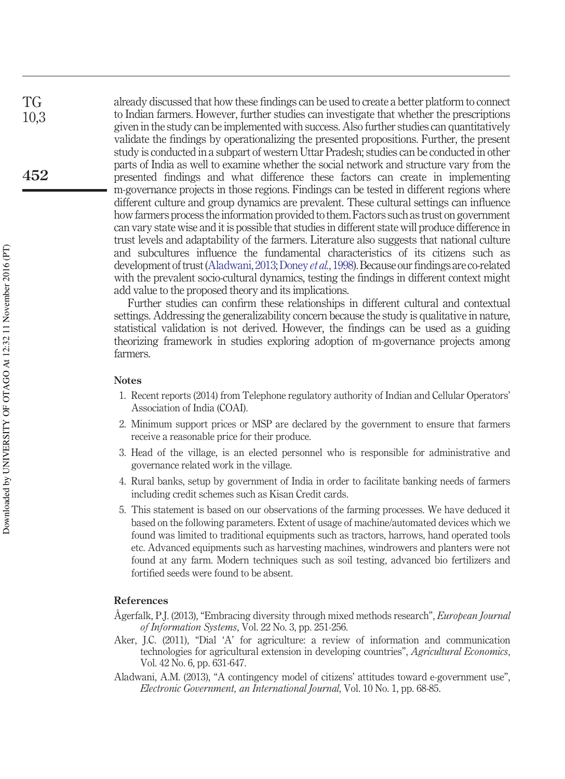already discussed that how these findings can be used to create a better platform to connect to Indian farmers. However, further studies can investigate that whether the prescriptions given in the study can be implemented with success. Also further studies can quantitatively validate the findings by operationalizing the presented propositions. Further, the present study is conducted in a subpart of western Uttar Pradesh; studies can be conducted in other parts of India as well to examine whether the social network and structure vary from the presented findings and what difference these factors can create in implementing m-governance projects in those regions. Findings can be tested in different regions where different culture and group dynamics are prevalent. These cultural settings can influence how farmers process the information provided to them. Factors such as trust on government can vary state wise and it is possible that studies in different state will produce difference in trust levels and adaptability of the farmers. Literature also suggests that national culture and subcultures influence the fundamental characteristics of its citizens such as development of trust (Aladwani, 2013; Doney *et al.*, 1998). Because our findings are co-related with the prevalent socio-cultural dynamics, testing the findings in different context might add value to the proposed theory and its implications.

Further studies can confirm these relationships in different cultural and contextual settings. Addressing the generalizability concern because the study is qualitative in nature, statistical validation is not derived. However, the findings can be used as a guiding theorizing framework in studies exploring adoption of m-governance projects among farmers.

#### **Notes**

- 1. Recent reports (2014) from Telephone regulatory authority of Indian and Cellular Operators' Association of India (COAI).
- 2. Minimum support prices or MSP are declared by the government to ensure that farmers receive a reasonable price for their produce.
- 3. Head of the village, is an elected personnel who is responsible for administrative and governance related work in the village.
- 4. Rural banks, setup by government of India in order to facilitate banking needs of farmers including credit schemes such as Kisan Credit cards.
- 5. This statement is based on our observations of the farming processes. We have deduced it based on the following parameters. Extent of usage of machine/automated devices which we found was limited to traditional equipments such as tractors, harrows, hand operated tools etc. Advanced equipments such as harvesting machines, windrowers and planters were not found at any farm. Modern techniques such as soil testing, advanced bio fertilizers and fortified seeds were found to be absent.

#### **References**

- Ågerfalk, P.J. (2013), "Embracing diversity through mixed methods research", *European Journal of Information Systems*, Vol. 22 No. 3, pp. 251-256.
- Aker, J.C. (2011), "Dial 'A' for agriculture: a review of information and communication technologies for agricultural extension in developing countries", *Agricultural Economics*, Vol. 42 No. 6, pp. 631-647.
- Aladwani, A.M. (2013), "A contingency model of citizens' attitudes toward e-government use", *Electronic Government, an International Journal*, Vol. 10 No. 1, pp. 68-85.

TG 10,3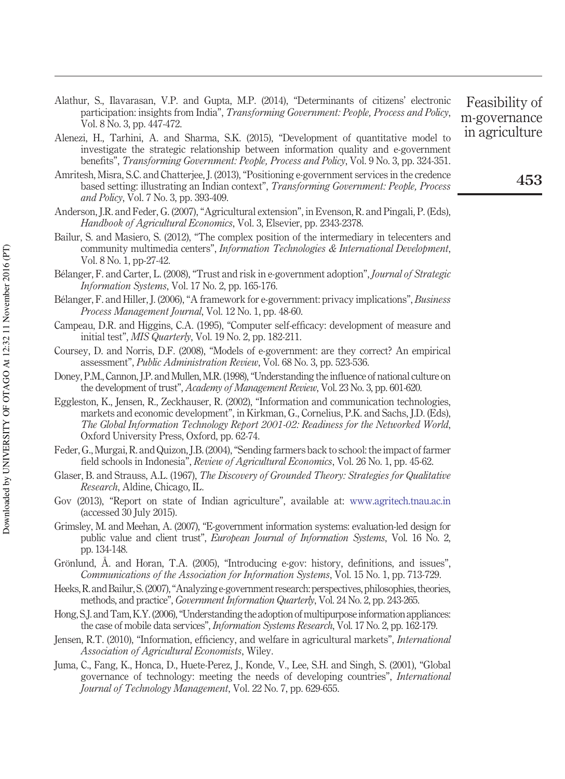- Alathur, S., Ilavarasan, V.P. and Gupta, M.P. (2014), "Determinants of citizens' electronic participation: insights from India", *Transforming Government: People, Process and Policy*, Vol. 8 No. 3, pp. 447-472.
- Alenezi, H., Tarhini, A. and Sharma, S.K. (2015), "Development of quantitative model to investigate the strategic relationship between information quality and e-government benefits", *Transforming Government: People, Process and Policy*, Vol. 9 No. 3, pp. 324-351.
- Amritesh, Misra, S.C. and Chatterjee, J. (2013), "Positioning e-government services in the credence based setting: illustrating an Indian context", *Transforming Government: People, Process and Policy*, Vol. 7 No. 3, pp. 393-409.
- Anderson, J.R. and Feder, G. (2007), "Agricultural extension", in Evenson, R. and Pingali, P. (Eds), *Handbook of Agricultural Economics*, Vol. 3, Elsevier, pp. 2343-2378.
- Bailur, S. and Masiero, S. (2012), "The complex position of the intermediary in telecenters and community multimedia centers", *Information Technologies & International Development*, Vol. 8 No. 1, pp-27-42.
- Bélanger, F. and Carter, L. (2008), "Trust and risk in e-government adoption", *Journal of Strategic Information Systems*, Vol. 17 No. 2, pp. 165-176.
- Bélanger, F. and Hiller, J. (2006), "A framework for e-government: privacy implications", *Business Process Management Journal*, Vol. 12 No. 1, pp. 48-60.
- Campeau, D.R. and Higgins, C.A. (1995), "Computer self-efficacy: development of measure and initial test", *MIS Quarterly*, Vol. 19 No. 2, pp. 182-211.
- Coursey, D. and Norris, D.F. (2008), "Models of e-government: are they correct? An empirical assessment", *Public Administration Review*, Vol. 68 No. 3, pp. 523-536.
- Doney, P.M., Cannon, J.P. and Mullen, M.R. (1998), "Understanding the influence of national culture on the development of trust", *Academy of Management Review*, Vol. 23 No. 3, pp. 601-620.
- Eggleston, K., Jensen, R., Zeckhauser, R. (2002), "Information and communication technologies, markets and economic development", in Kirkman, G., Cornelius, P.K. and Sachs, J.D. (Eds), *The Global Information Technology Report 2001-02: Readiness for the Networked World*, Oxford University Press, Oxford, pp. 62-74.
- Feder, G., Murgai, R. and Quizon, J.B. (2004), "Sending farmers back to school: the impact of farmer field schools in Indonesia", *Review of Agricultural Economics*, Vol. 26 No. 1, pp. 45-62.
- Glaser, B. and Strauss, A.L. (1967), *The Discovery of Grounded Theory: Strategies for Qualitative Research*, Aldine, Chicago, IL.
- Gov (2013), "Report on state of Indian agriculture", available at: [www.agritech.tnau.ac.in](http://www.agritech.tnau.ac.in) (accessed 30 July 2015).
- Grimsley, M. and Meehan, A. (2007), "E-government information systems: evaluation-led design for public value and client trust", *European Journal of Information Systems*, Vol. 16 No. 2, pp. 134-148.
- Grönlund, Å. and Horan, T.A. (2005), "Introducing e-gov: history, definitions, and issues", *Communications of the Association for Information Systems*, Vol. 15 No. 1, pp. 713-729.
- Heeks, R. and Bailur, S.(2007), "Analyzing e-government research: perspectives, philosophies, theories, methods, and practice", *Government Information Quarterly*, Vol. 24 No. 2, pp. 243-265.
- Hong, S.J. and Tam, K.Y. (2006), "Understanding the adoption of multipurpose information appliances: the case of mobile data services", *Information Systems Research*, Vol. 17 No. 2, pp. 162-179.
- Jensen, R.T. (2010), "Information, efficiency, and welfare in agricultural markets", *International Association of Agricultural Economists*, Wiley.
- Juma, C., Fang, K., Honca, D., Huete-Perez, J., Konde, V., Lee, S.H. and Singh, S. (2001), "Global governance of technology: meeting the needs of developing countries", *International Journal of Technology Management*, Vol. 22 No. 7, pp. 629-655.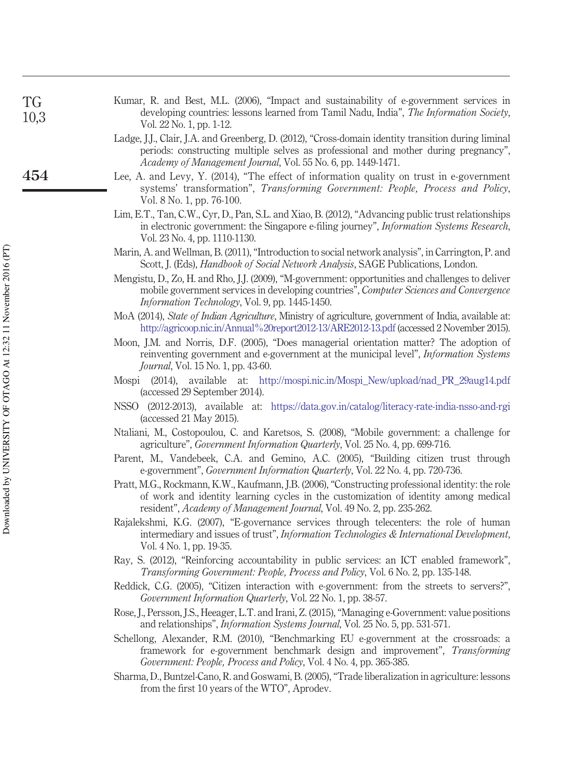| <b>TG</b><br>10,3 | Kumar, R. and Best, M.L. (2006), "Impact and sustainability of e-government services in<br>developing countries: lessons learned from Tamil Nadu, India", The Information Society,<br>Vol. 22 No. 1, pp. 1-12.                                                    |
|-------------------|-------------------------------------------------------------------------------------------------------------------------------------------------------------------------------------------------------------------------------------------------------------------|
|                   | Ladge, J.J., Clair, J.A. and Greenberg, D. (2012), "Cross-domain identity transition during liminal<br>periods: constructing multiple selves as professional and mother during pregnancy",<br>Academy of Management Journal, Vol. 55 No. 6, pp. 1449-1471.        |
| 454               | Lee, A. and Levy, Y. (2014), "The effect of information quality on trust in e-government<br>systems' transformation", Transforming Government: People, Process and Policy,<br>Vol. 8 No. 1, pp. 76-100.                                                           |
|                   | Lim, E.T., Tan, C.W., Cyr, D., Pan, S.L. and Xiao, B. (2012), "Advancing public trust relationships<br>in electronic government: the Singapore e-filing journey", <i>Information Systems Research</i> ,<br>Vol. 23 No. 4, pp. 1110-1130.                          |
|                   | Marin, A. and Wellman, B. (2011), "Introduction to social network analysis", in Carrington, P. and<br>Scott, J. (Eds), Handbook of Social Network Analysis, SAGE Publications, London.                                                                            |
|                   | Mengistu, D., Zo, H. and Rho, J.J. (2009), "M-government: opportunities and challenges to deliver<br>mobile government services in developing countries", Computer Sciences and Convergence<br>Information Technology, Vol. 9, pp. 1445-1450.                     |
|                   | MoA (2014), State of Indian Agriculture, Ministry of agriculture, government of India, available at:<br>http://agricoop.nic.in/Annual%20report2012-13/ARE2012-13.pdf (accessed 2 November 2015).                                                                  |
|                   | Moon, J.M. and Norris, D.F. (2005), "Does managerial orientation matter? The adoption of<br>reinventing government and e-government at the municipal level", <i>Information Systems</i><br>Journal, Vol. 15 No. 1, pp. 43-60.                                     |
|                   | Mospi (2014), available at: http://mospi.nic.in/Mospi_New/upload/nad_PR_29aug14.pdf<br>(accessed 29 September 2014).                                                                                                                                              |
|                   | NSSO (2012-2013), available at: https://data.gov.in/catalog/literacy-rate-india-nsso-and-rgi<br>(accessed 21 May 2015).                                                                                                                                           |
|                   | Ntaliani, M., Costopoulou, C. and Karetsos, S. (2008), "Mobile government: a challenge for<br>agriculture", <i>Government Information Quarterly</i> , Vol. 25 No. 4, pp. 699-716.                                                                                 |
|                   | Parent, M., Vandebeek, C.A. and Gemino, A.C. (2005), "Building citizen trust through<br>e-government", <i>Government Information Quarterly</i> , Vol. 22 No. 4, pp. 720-736.                                                                                      |
|                   | Pratt, M.G., Rockmann, K.W., Kaufmann, J.B. (2006), "Constructing professional identity: the role<br>of work and identity learning cycles in the customization of identity among medical<br>resident", Academy of Management Journal, Vol. 49 No. 2, pp. 235-262. |
|                   | Rajalekshmi, K.G. (2007), "E-governance services through telecenters: the role of human<br>intermediary and issues of trust", Information Technologies & International Development,<br>Vol. 4 No. 1, pp. 19-35.                                                   |
|                   | Ray, S. (2012), "Reinforcing accountability in public services: an ICT enabled framework",<br>Transforming Government: People, Process and Policy, Vol. 6 No. 2, pp. 135-148.                                                                                     |
|                   | Reddick, C.G. (2005), "Citizen interaction with e-government: from the streets to servers?",<br>Government Information Quarterly, Vol. 22 No. 1, pp. 38-57.                                                                                                       |
|                   |                                                                                                                                                                                                                                                                   |

Downloaded by UNIVERSITY OF OTAGO At 12:32 11 November 2016 (PT) Downloaded by UNIVERSITY OF OTAGO At 12:32 11 November 2016 (PT)

- Rose, J., Persson, J.S., Heeager, L.T. and Irani, Z. (2015), "Managing e-Government: value positions and relationships", *Information Systems Journal*, Vol. 25 No. 5, pp. 531-571.
- Schellong, Alexander, R.M. (2010), "Benchmarking EU e-government at the crossroads: a framework for e-government benchmark design and improvement", *Transforming Government: People, Process and Policy*, Vol. 4 No. 4, pp. 365-385.
- Sharma, D., Buntzel-Cano, R. and Goswami, B. (2005), "Trade liberalization in agriculture: lessons from the first 10 years of the WTO", Aprodev.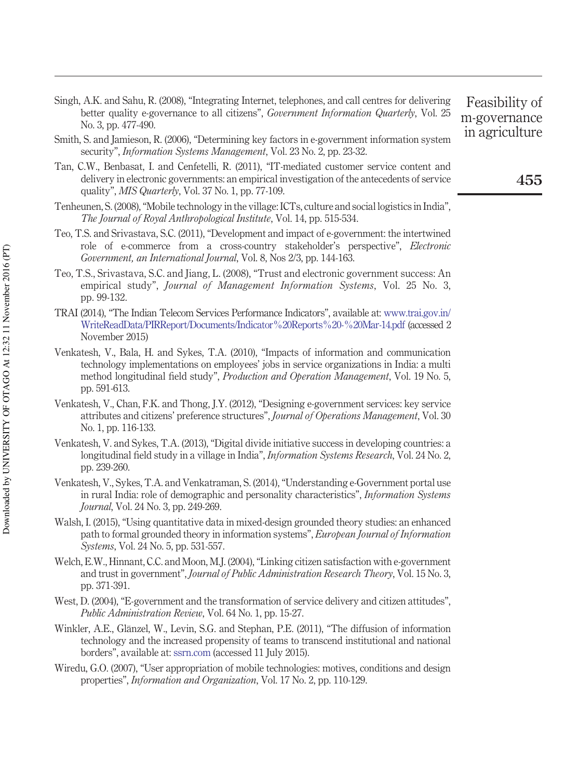- Singh, A.K. and Sahu, R. (2008), "Integrating Internet, telephones, and call centres for delivering better quality e-governance to all citizens", *Government Information Quarterly*, Vol. 25 No. 3, pp. 477-490.
- Smith, S. and Jamieson, R. (2006), "Determining key factors in e-government information system security", *Information Systems Management*, Vol. 23 No. 2, pp. 23-32.
- Tan, C.W., Benbasat, I. and Cenfetelli, R. (2011), "IT-mediated customer service content and delivery in electronic governments: an empirical investigation of the antecedents of service quality", *MIS Quarterly*, Vol. 37 No. 1, pp. 77-109.
- Tenheunen, S. (2008), "Mobile technology in the village: ICTs, culture and social logistics in India", *The Journal of Royal Anthropological Institute*, Vol. 14, pp. 515-534.
- Teo, T.S. and Srivastava, S.C. (2011), "Development and impact of e-government: the intertwined role of e-commerce from a cross-country stakeholder's perspective", *Electronic Government, an International Journal*, Vol. 8, Nos 2/3, pp. 144-163.
- Teo, T.S., Srivastava, S.C. and Jiang, L. (2008), "Trust and electronic government success: An empirical study", *Journal of Management Information Systems*, Vol. 25 No. 3, pp. 99-132.
- TRAI (2014), "The Indian Telecom Services Performance Indicators", available at: [www.trai.gov.in/](http://www.trai.gov.in/WriteReadData/PIRReport/Documents/Indicator%20Reports%20-%20Mar-14.pdf) [WriteReadData/PIRReport/Documents/Indicator%20Reports%20-%20Mar-14.pdf](http://www.trai.gov.in/WriteReadData/PIRReport/Documents/Indicator%20Reports%20-%20Mar-14.pdf) (accessed 2 November 2015)
- Venkatesh, V., Bala, H. and Sykes, T.A. (2010), "Impacts of information and communication technology implementations on employees' jobs in service organizations in India: a multi method longitudinal field study", *Production and Operation Management*, Vol. 19 No. 5, pp. 591-613.
- Venkatesh, V., Chan, F.K. and Thong, J.Y. (2012), "Designing e-government services: key service attributes and citizens' preference structures", *Journal of Operations Management*, Vol. 30 No. 1, pp. 116-133.
- Venkatesh, V. and Sykes, T.A. (2013), "Digital divide initiative success in developing countries: a longitudinal field study in a village in India", *Information Systems Research*, Vol. 24 No. 2, pp. 239-260.
- Venkatesh, V., Sykes, T.A. and Venkatraman, S. (2014), "Understanding e-Government portal use in rural India: role of demographic and personality characteristics", *Information Systems Journal*, Vol. 24 No. 3, pp. 249-269.
- Walsh, I. (2015), "Using quantitative data in mixed-design grounded theory studies: an enhanced path to formal grounded theory in information systems", *European Journal of Information Systems*, Vol. 24 No. 5, pp. 531-557.
- Welch, E.W., Hinnant, C.C. and Moon, M.J. (2004), "Linking citizen satisfaction with e-government and trust in government", *Journal of Public Administration Research Theory*, Vol. 15 No. 3, pp. 371-391.
- West, D. (2004), "E-government and the transformation of service delivery and citizen attitudes", *Public Administration Review*, Vol. 64 No. 1, pp. 15-27.
- Winkler, A.E., Glänzel, W., Levin, S.G. and Stephan, P.E. (2011), "The diffusion of information technology and the increased propensity of teams to transcend institutional and national borders", available at: [ssrn.com](http://ssrn.com) (accessed 11 July 2015).
- Wiredu, G.O. (2007), "User appropriation of mobile technologies: motives, conditions and design properties", *Information and Organization*, Vol. 17 No. 2, pp. 110-129.